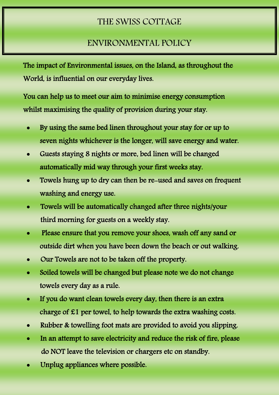## THE SWISS COTTAGE

## ENVIRONMENTAL POLICY

The impact of Environmental issues, on the Island, as throughout the World, is influential on our everyday lives.

You can help us to meet our aim to minimise energy consumption whilst maximising the quality of provision during your stay.

- By using the same bed linen throughout your stay for or up to seven nights whichever is the longer, will save energy and water.
- Guests staying 8 nights or more, bed linen will be changed automatically mid way through your first weeks stay.
- Towels hung up to dry can then be re-used and saves on frequent washing and energy use.
- Towels will be automatically changed after three nights/your third morning for guests on a weekly stay.
- Please ensure that you remove your shoes, wash off any sand or outside dirt when you have been down the beach or out walking.
- Our Towels are not to be taken off the property.
- Soiled towels will be changed but please note we do not change towels every day as a rule.
- If you do want clean towels every day, then there is an extra charge of £1 per towel, to help towards the extra washing costs.
- Rubber & towelling foot mats are provided to avoid you slipping.
- In an attempt to save electricity and reduce the risk of fire, please do NOT leave the television or chargers etc on standby.
- Unplug appliances where possible.